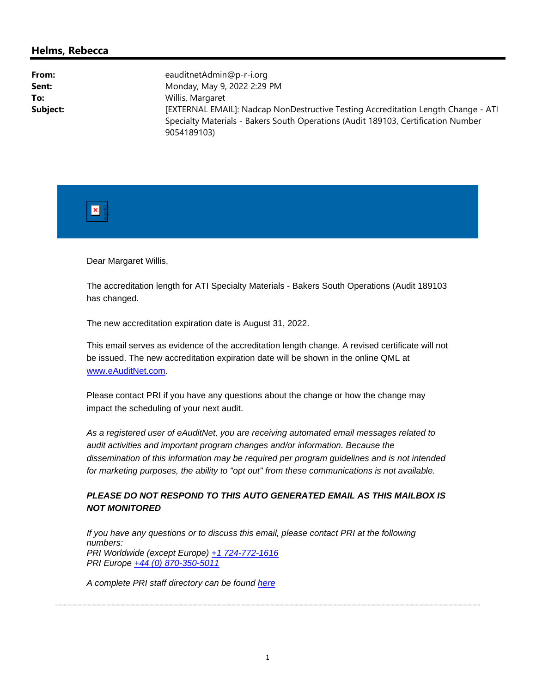## **Helms, Rebecca**

| From:    | eauditnetAdmin@p-r-i.org                                                          |
|----------|-----------------------------------------------------------------------------------|
| Sent:    | Monday, May 9, 2022 2:29 PM                                                       |
| To:      | Willis, Margaret                                                                  |
| Subject: | [EXTERNAL EMAIL]: Nadcap NonDestructive Testing Accreditation Length Change - ATI |
|          | Specialty Materials - Bakers South Operations (Audit 189103, Certification Number |
|          | 9054189103)                                                                       |



Dear Margaret Willis,

The accreditation length for ATI Specialty Materials - Bakers South Operations (Audit 189103 has changed.

The new accreditation expiration date is August 31, 2022.

This email serves as evidence of the accreditation length change. A revised certificate will not be issued. The new accreditation expiration date will be shown in the online QML at www.eAuditNet.com.

Please contact PRI if you have any questions about the change or how the change may impact the scheduling of your next audit.

*As a registered user of eAuditNet, you are receiving automated email messages related to audit activities and important program changes and/or information. Because the dissemination of this information may be required per program guidelines and is not intended for marketing purposes, the ability to "opt out" from these communications is not available.* 

## *PLEASE DO NOT RESPOND TO THIS AUTO GENERATED EMAIL AS THIS MAILBOX IS NOT MONITORED*

*If you have any questions or to discuss this email, please contact PRI at the following numbers: PRI Worldwide (except Europe) +1 724-772-1616 PRI Europe +44 (0) 870-350-5011*

*A complete PRI staff directory can be found here*